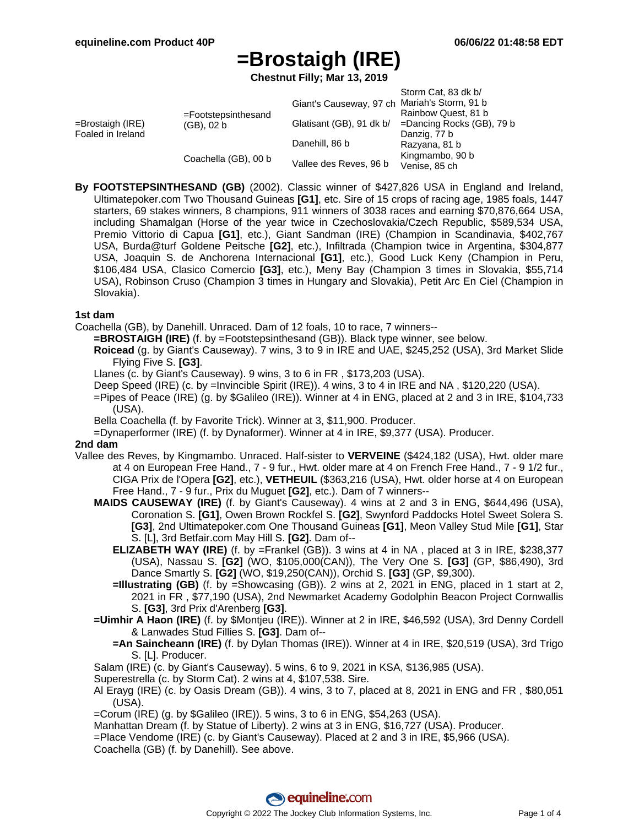**Chestnut Filly; Mar 13, 2019**

|                                          |                                   |                                              | Storm Cat, 83 dk b/          |
|------------------------------------------|-----------------------------------|----------------------------------------------|------------------------------|
| $=$ Brostaigh (IRE)<br>Foaled in Ireland | =Footstepsinthesand<br>(GB), 02 b | Giant's Causeway, 97 ch Mariah's Storm, 91 b |                              |
|                                          |                                   |                                              | Rainbow Quest, 81 b          |
|                                          |                                   | Glatisant (GB), 91 dk b/                     | $=$ Dancing Rocks (GB), 79 b |
|                                          |                                   |                                              | Danzig, 77 b                 |
|                                          |                                   | Danehill, 86 b                               | Razyana, 81 b                |
|                                          | Coachella (GB), 00 b              | Vallee des Reves, 96 b                       | Kingmambo, 90 b              |
|                                          |                                   |                                              | Venise, 85 ch                |

**By FOOTSTEPSINTHESAND (GB)** (2002). Classic winner of \$427,826 USA in England and Ireland, Ultimatepoker.com Two Thousand Guineas **[G1]**, etc. Sire of 15 crops of racing age, 1985 foals, 1447 starters, 69 stakes winners, 8 champions, 911 winners of 3038 races and earning \$70,876,664 USA, including Shamalgan (Horse of the year twice in Czechoslovakia/Czech Republic, \$589,534 USA, Premio Vittorio di Capua **[G1]**, etc.), Giant Sandman (IRE) (Champion in Scandinavia, \$402,767 USA, Burda@turf Goldene Peitsche **[G2]**, etc.), Infiltrada (Champion twice in Argentina, \$304,877 USA, Joaquin S. de Anchorena Internacional **[G1]**, etc.), Good Luck Keny (Champion in Peru, \$106,484 USA, Clasico Comercio **[G3]**, etc.), Meny Bay (Champion 3 times in Slovakia, \$55,714 USA), Robinson Cruso (Champion 3 times in Hungary and Slovakia), Petit Arc En Ciel (Champion in Slovakia).

### **1st dam**

Coachella (GB), by Danehill. Unraced. Dam of 12 foals, 10 to race, 7 winners--

- **=BROSTAIGH (IRE)** (f. by =Footstepsinthesand (GB)). Black type winner, see below.
	- **Roicead** (g. by Giant's Causeway). 7 wins, 3 to 9 in IRE and UAE, \$245,252 (USA), 3rd Market Slide Flying Five S. **[G3]**.
	- Llanes (c. by Giant's Causeway). 9 wins, 3 to 6 in FR , \$173,203 (USA).
	- Deep Speed (IRE) (c. by =Invincible Spirit (IRE)). 4 wins, 3 to 4 in IRE and NA, \$120,220 (USA).
	- =Pipes of Peace (IRE) (g. by \$Galileo (IRE)). Winner at 4 in ENG, placed at 2 and 3 in IRE, \$104,733 (USA).
	- Bella Coachella (f. by Favorite Trick). Winner at 3, \$11,900. Producer.
- =Dynaperformer (IRE) (f. by Dynaformer). Winner at 4 in IRE, \$9,377 (USA). Producer.

### **2nd dam**

- Vallee des Reves, by Kingmambo. Unraced. Half-sister to **VERVEINE** (\$424,182 (USA), Hwt. older mare at 4 on European Free Hand., 7 - 9 fur., Hwt. older mare at 4 on French Free Hand., 7 - 9 1/2 fur., CIGA Prix de l'Opera **[G2]**, etc.), **VETHEUIL** (\$363,216 (USA), Hwt. older horse at 4 on European Free Hand., 7 - 9 fur., Prix du Muguet **[G2]**, etc.). Dam of 7 winners--
	- **MAIDS CAUSEWAY (IRE)** (f. by Giant's Causeway). 4 wins at 2 and 3 in ENG, \$644,496 (USA), Coronation S. **[G1]**, Owen Brown Rockfel S. **[G2]**, Swynford Paddocks Hotel Sweet Solera S. **[G3]**, 2nd Ultimatepoker.com One Thousand Guineas **[G1]**, Meon Valley Stud Mile **[G1]**, Star S. [L], 3rd Betfair.com May Hill S. **[G2]**. Dam of--
		- **ELIZABETH WAY (IRE)** (f. by =Frankel (GB)). 3 wins at 4 in NA , placed at 3 in IRE, \$238,377 (USA), Nassau S. **[G2]** (WO, \$105,000(CAN)), The Very One S. **[G3]** (GP, \$86,490), 3rd Dance Smartly S. **[G2]** (WO, \$19,250(CAN)), Orchid S. **[G3]** (GP, \$9,300).
		- **=Illustrating (GB)** (f. by =Showcasing (GB)). 2 wins at 2, 2021 in ENG, placed in 1 start at 2, 2021 in FR , \$77,190 (USA), 2nd Newmarket Academy Godolphin Beacon Project Cornwallis S. **[G3]**, 3rd Prix d'Arenberg **[G3]**.
	- **=Uimhir A Haon (IRE)** (f. by \$Montjeu (IRE)). Winner at 2 in IRE, \$46,592 (USA), 3rd Denny Cordell & Lanwades Stud Fillies S. **[G3]**. Dam of--
		- **=An Saincheann (IRE)** (f. by Dylan Thomas (IRE)). Winner at 4 in IRE, \$20,519 (USA), 3rd Trigo S. [L]. Producer.
	- Salam (IRE) (c. by Giant's Causeway). 5 wins, 6 to 9, 2021 in KSA, \$136,985 (USA).

Superestrella (c. by Storm Cat). 2 wins at 4, \$107,538. Sire.

- Al Erayg (IRE) (c. by Oasis Dream (GB)). 4 wins, 3 to 7, placed at 8, 2021 in ENG and FR , \$80,051 (USA).
- =Corum (IRE) (g. by \$Galileo (IRE)). 5 wins, 3 to 6 in ENG, \$54,263 (USA).
- Manhattan Dream (f. by Statue of Liberty). 2 wins at 3 in ENG, \$16,727 (USA). Producer.

=Place Vendome (IRE) (c. by Giant's Causeway). Placed at 2 and 3 in IRE, \$5,966 (USA).

Coachella (GB) (f. by Danehill). See above.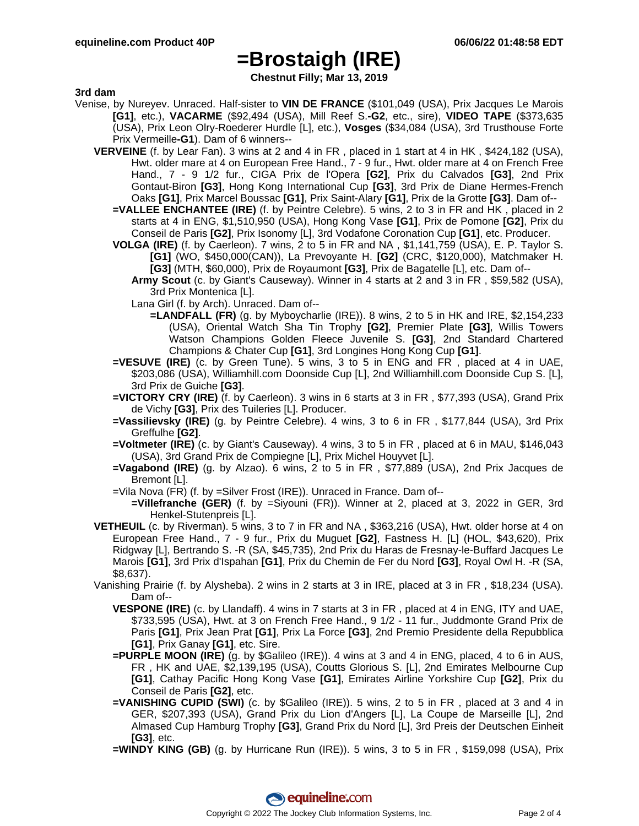**Chestnut Filly; Mar 13, 2019**

### **3rd dam**

- Venise, by Nureyev. Unraced. Half-sister to **VIN DE FRANCE** (\$101,049 (USA), Prix Jacques Le Marois **[G1]**, etc.), **VACARME** (\$92,494 (USA), Mill Reef S.**-G2**, etc., sire), **VIDEO TAPE** (\$373,635 (USA), Prix Leon Olry-Roederer Hurdle [L], etc.), **Vosges** (\$34,084 (USA), 3rd Trusthouse Forte Prix Vermeille**-G1**). Dam of 6 winners--
	- **VERVEINE** (f. by Lear Fan). 3 wins at 2 and 4 in FR , placed in 1 start at 4 in HK , \$424,182 (USA), Hwt. older mare at 4 on European Free Hand., 7 - 9 fur., Hwt. older mare at 4 on French Free Hand., 7 - 9 1/2 fur., CIGA Prix de l'Opera **[G2]**, Prix du Calvados **[G3]**, 2nd Prix Gontaut-Biron **[G3]**, Hong Kong International Cup **[G3]**, 3rd Prix de Diane Hermes-French Oaks **[G1]**, Prix Marcel Boussac **[G1]**, Prix Saint-Alary **[G1]**, Prix de la Grotte **[G3]**. Dam of--
		- **=VALLEE ENCHANTEE (IRE)** (f. by Peintre Celebre). 5 wins, 2 to 3 in FR and HK , placed in 2 starts at 4 in ENG, \$1,510,950 (USA), Hong Kong Vase **[G1]**, Prix de Pomone **[G2]**, Prix du Conseil de Paris **[G2]**, Prix Isonomy [L], 3rd Vodafone Coronation Cup **[G1]**, etc. Producer.
		- **VOLGA (IRE)** (f. by Caerleon). 7 wins, 2 to 5 in FR and NA , \$1,141,759 (USA), E. P. Taylor S. **[G1]** (WO, \$450,000(CAN)), La Prevoyante H. **[G2]** (CRC, \$120,000), Matchmaker H. **[G3]** (MTH, \$60,000), Prix de Royaumont **[G3]**, Prix de Bagatelle [L], etc. Dam of--
			- **Army Scout** (c. by Giant's Causeway). Winner in 4 starts at 2 and 3 in FR , \$59,582 (USA), 3rd Prix Montenica [L].
			- Lana Girl (f. by Arch). Unraced. Dam of--
				- **=LANDFALL (FR)** (g. by Myboycharlie (IRE)). 8 wins, 2 to 5 in HK and IRE, \$2,154,233 (USA), Oriental Watch Sha Tin Trophy **[G2]**, Premier Plate **[G3]**, Willis Towers Watson Champions Golden Fleece Juvenile S. **[G3]**, 2nd Standard Chartered Champions & Chater Cup **[G1]**, 3rd Longines Hong Kong Cup **[G1]**.
		- **=VESUVE (IRE)** (c. by Green Tune). 5 wins, 3 to 5 in ENG and FR , placed at 4 in UAE, \$203,086 (USA), Williamhill.com Doonside Cup [L], 2nd Williamhill.com Doonside Cup S. [L], 3rd Prix de Guiche **[G3]**.
		- **=VICTORY CRY (IRE)** (f. by Caerleon). 3 wins in 6 starts at 3 in FR , \$77,393 (USA), Grand Prix de Vichy **[G3]**, Prix des Tuileries [L]. Producer.
		- **=Vassilievsky (IRE)** (g. by Peintre Celebre). 4 wins, 3 to 6 in FR , \$177,844 (USA), 3rd Prix Greffulhe **[G2]**.
		- **=Voltmeter (IRE)** (c. by Giant's Causeway). 4 wins, 3 to 5 in FR , placed at 6 in MAU, \$146,043 (USA), 3rd Grand Prix de Compiegne [L], Prix Michel Houyvet [L].
		- **=Vagabond (IRE)** (g. by Alzao). 6 wins, 2 to 5 in FR , \$77,889 (USA), 2nd Prix Jacques de Bremont [L].
		- =Vila Nova (FR) (f. by =Silver Frost (IRE)). Unraced in France. Dam of--
			- **=Villefranche (GER)** (f. by =Siyouni (FR)). Winner at 2, placed at 3, 2022 in GER, 3rd Henkel-Stutenpreis [L].
	- **VETHEUIL** (c. by Riverman). 5 wins, 3 to 7 in FR and NA , \$363,216 (USA), Hwt. older horse at 4 on European Free Hand., 7 - 9 fur., Prix du Muguet **[G2]**, Fastness H. [L] (HOL, \$43,620), Prix Ridgway [L], Bertrando S. -R (SA, \$45,735), 2nd Prix du Haras de Fresnay-le-Buffard Jacques Le Marois **[G1]**, 3rd Prix d'Ispahan **[G1]**, Prix du Chemin de Fer du Nord **[G3]**, Royal Owl H. -R (SA, \$8,637).
	- Vanishing Prairie (f. by Alysheba). 2 wins in 2 starts at 3 in IRE, placed at 3 in FR , \$18,234 (USA). Dam of--
		- **VESPONE (IRE)** (c. by Llandaff). 4 wins in 7 starts at 3 in FR , placed at 4 in ENG, ITY and UAE, \$733,595 (USA), Hwt. at 3 on French Free Hand., 9 1/2 - 11 fur., Juddmonte Grand Prix de Paris **[G1]**, Prix Jean Prat **[G1]**, Prix La Force **[G3]**, 2nd Premio Presidente della Repubblica **[G1]**, Prix Ganay **[G1]**, etc. Sire.
		- **=PURPLE MOON (IRE)** (g. by \$Galileo (IRE)). 4 wins at 3 and 4 in ENG, placed, 4 to 6 in AUS, FR , HK and UAE, \$2,139,195 (USA), Coutts Glorious S. [L], 2nd Emirates Melbourne Cup **[G1]**, Cathay Pacific Hong Kong Vase **[G1]**, Emirates Airline Yorkshire Cup **[G2]**, Prix du Conseil de Paris **[G2]**, etc.
		- **=VANISHING CUPID (SWI)** (c. by \$Galileo (IRE)). 5 wins, 2 to 5 in FR , placed at 3 and 4 in GER, \$207,393 (USA), Grand Prix du Lion d'Angers [L], La Coupe de Marseille [L], 2nd Almased Cup Hamburg Trophy **[G3]**, Grand Prix du Nord [L], 3rd Preis der Deutschen Einheit **[G3]**, etc.
		- **=WINDY KING (GB)** (g. by Hurricane Run (IRE)). 5 wins, 3 to 5 in FR , \$159,098 (USA), Prix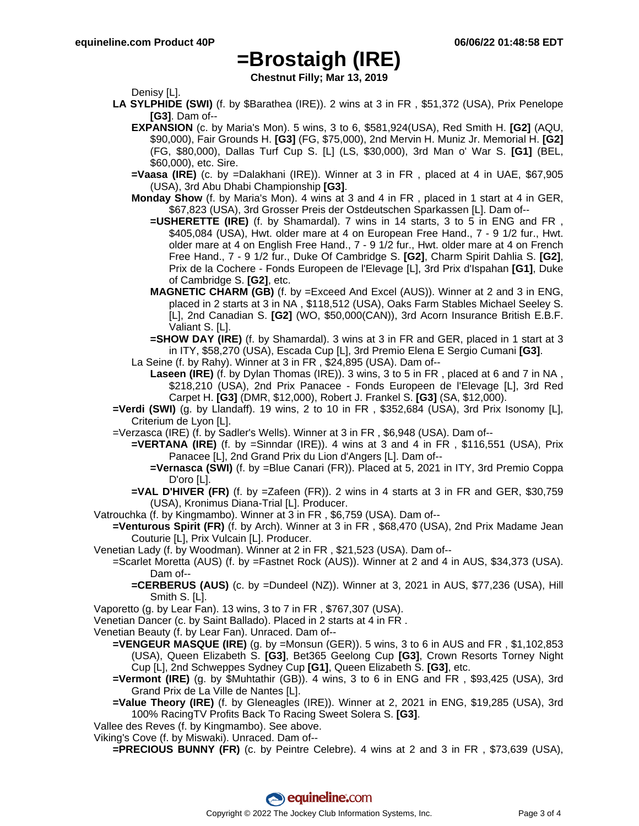**Chestnut Filly; Mar 13, 2019**

Denisy [L].

- **LA SYLPHIDE (SWI)** (f. by \$Barathea (IRE)). 2 wins at 3 in FR , \$51,372 (USA), Prix Penelope **[G3]**. Dam of--
	- **EXPANSION** (c. by Maria's Mon). 5 wins, 3 to 6, \$581,924(USA), Red Smith H. **[G2]** (AQU, \$90,000), Fair Grounds H. **[G3]** (FG, \$75,000), 2nd Mervin H. Muniz Jr. Memorial H. **[G2]** (FG, \$80,000), Dallas Turf Cup S. [L] (LS, \$30,000), 3rd Man o' War S. **[G1]** (BEL, \$60,000), etc. Sire.
	- **=Vaasa (IRE)** (c. by =Dalakhani (IRE)). Winner at 3 in FR , placed at 4 in UAE, \$67,905 (USA), 3rd Abu Dhabi Championship **[G3]**.
	- **Monday Show** (f. by Maria's Mon). 4 wins at 3 and 4 in FR , placed in 1 start at 4 in GER, \$67,823 (USA), 3rd Grosser Preis der Ostdeutschen Sparkassen [L]. Dam of--
		- **=USHERETTE (IRE)** (f. by Shamardal). 7 wins in 14 starts, 3 to 5 in ENG and FR , \$405,084 (USA), Hwt. older mare at 4 on European Free Hand., 7 - 9 1/2 fur., Hwt. older mare at 4 on English Free Hand., 7 - 9 1/2 fur., Hwt. older mare at 4 on French Free Hand., 7 - 9 1/2 fur., Duke Of Cambridge S. **[G2]**, Charm Spirit Dahlia S. **[G2]**, Prix de la Cochere - Fonds Europeen de l'Elevage [L], 3rd Prix d'Ispahan **[G1]**, Duke of Cambridge S. **[G2]**, etc.
		- **MAGNETIC CHARM (GB)** (f. by =Exceed And Excel (AUS)). Winner at 2 and 3 in ENG, placed in 2 starts at 3 in NA , \$118,512 (USA), Oaks Farm Stables Michael Seeley S. [L], 2nd Canadian S. **[G2]** (WO, \$50,000(CAN)), 3rd Acorn Insurance British E.B.F. Valiant S. [L].
		- **=SHOW DAY (IRE)** (f. by Shamardal). 3 wins at 3 in FR and GER, placed in 1 start at 3 in ITY, \$58,270 (USA), Escada Cup [L], 3rd Premio Elena E Sergio Cumani **[G3]**.
	- La Seine (f. by Rahy). Winner at 3 in FR , \$24,895 (USA). Dam of--
		- **Laseen (IRE)** (f. by Dylan Thomas (IRE)). 3 wins, 3 to 5 in FR , placed at 6 and 7 in NA , \$218,210 (USA), 2nd Prix Panacee - Fonds Europeen de l'Elevage [L], 3rd Red Carpet H. **[G3]** (DMR, \$12,000), Robert J. Frankel S. **[G3]** (SA, \$12,000).
- **=Verdi (SWI)** (g. by Llandaff). 19 wins, 2 to 10 in FR , \$352,684 (USA), 3rd Prix Isonomy [L], Criterium de Lyon [L].
- =Verzasca (IRE) (f. by Sadler's Wells). Winner at 3 in FR , \$6,948 (USA). Dam of--
	- **=VERTANA (IRE)** (f. by =Sinndar (IRE)). 4 wins at 3 and 4 in FR , \$116,551 (USA), Prix Panacee [L], 2nd Grand Prix du Lion d'Angers [L]. Dam of--
		- **=Vernasca (SWI)** (f. by =Blue Canari (FR)). Placed at 5, 2021 in ITY, 3rd Premio Coppa D'oro [L].
	- **=VAL D'HIVER (FR)** (f. by =Zafeen (FR)). 2 wins in 4 starts at 3 in FR and GER, \$30,759 (USA), Kronimus Diana-Trial [L]. Producer.
- Vatrouchka (f. by Kingmambo). Winner at 3 in FR , \$6,759 (USA). Dam of--
	- **=Venturous Spirit (FR)** (f. by Arch). Winner at 3 in FR , \$68,470 (USA), 2nd Prix Madame Jean Couturie [L], Prix Vulcain [L]. Producer.
- Venetian Lady (f. by Woodman). Winner at 2 in FR , \$21,523 (USA). Dam of--
	- =Scarlet Moretta (AUS) (f. by =Fastnet Rock (AUS)). Winner at 2 and 4 in AUS, \$34,373 (USA). Dam of--
		- **=CERBERUS (AUS)** (c. by =Dundeel (NZ)). Winner at 3, 2021 in AUS, \$77,236 (USA), Hill Smith S. [L].
- Vaporetto (g. by Lear Fan). 13 wins, 3 to 7 in FR , \$767,307 (USA).
- Venetian Dancer (c. by Saint Ballado). Placed in 2 starts at 4 in FR .
- Venetian Beauty (f. by Lear Fan). Unraced. Dam of--
	- **=VENGEUR MASQUE (IRE)** (g. by =Monsun (GER)). 5 wins, 3 to 6 in AUS and FR , \$1,102,853 (USA), Queen Elizabeth S. **[G3]**, Bet365 Geelong Cup **[G3]**, Crown Resorts Torney Night Cup [L], 2nd Schweppes Sydney Cup **[G1]**, Queen Elizabeth S. **[G3]**, etc.
	- **=Vermont (IRE)** (g. by \$Muhtathir (GB)). 4 wins, 3 to 6 in ENG and FR , \$93,425 (USA), 3rd Grand Prix de La Ville de Nantes [L].
	- **=Value Theory (IRE)** (f. by Gleneagles (IRE)). Winner at 2, 2021 in ENG, \$19,285 (USA), 3rd 100% RacingTV Profits Back To Racing Sweet Solera S. **[G3]**.
- Vallee des Reves (f. by Kingmambo). See above.
- Viking's Cove (f. by Miswaki). Unraced. Dam of--
	- **=PRECIOUS BUNNY (FR)** (c. by Peintre Celebre). 4 wins at 2 and 3 in FR , \$73,639 (USA),